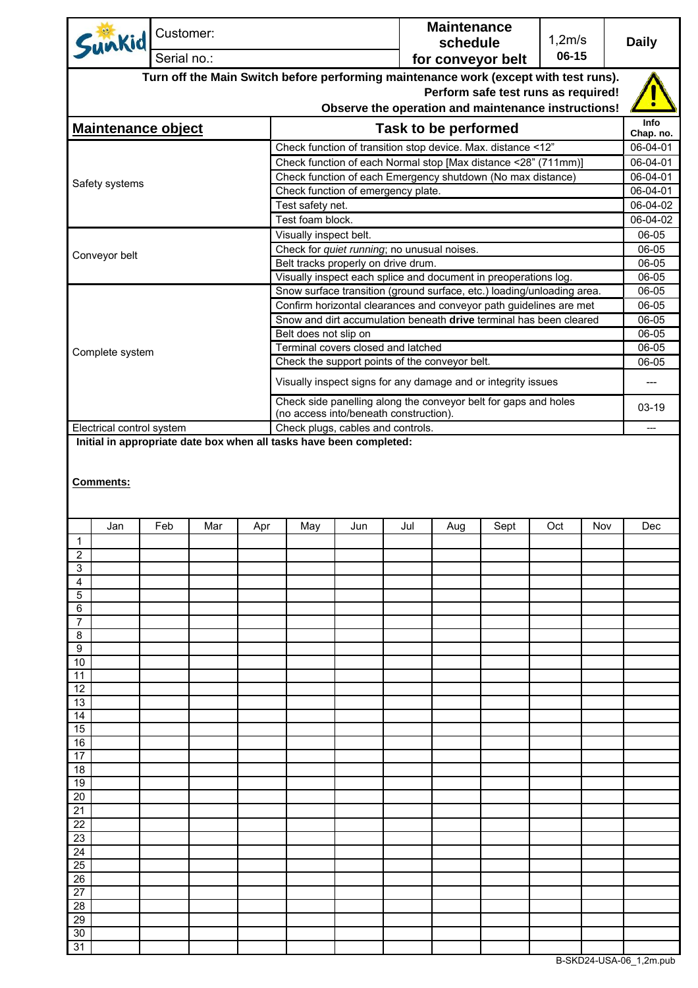| Sunkid                                                                               | Customer:   |     |                                                              |                                                                                                   |     |     | <b>Maintenance</b><br>schedule |                                                                        | 1,2m/s |     | <b>Daily</b>   |
|--------------------------------------------------------------------------------------|-------------|-----|--------------------------------------------------------------|---------------------------------------------------------------------------------------------------|-----|-----|--------------------------------|------------------------------------------------------------------------|--------|-----|----------------|
|                                                                                      | Serial no.: |     |                                                              |                                                                                                   |     |     | 06-15<br>for conveyor belt     |                                                                        |        |     |                |
| Turn off the Main Switch before performing maintenance work (except with test runs). |             |     |                                                              |                                                                                                   |     |     |                                |                                                                        |        |     |                |
| Perform safe test runs as required!                                                  |             |     |                                                              |                                                                                                   |     |     |                                |                                                                        |        |     |                |
| Observe the operation and maintenance instructions!                                  |             |     |                                                              |                                                                                                   |     |     |                                |                                                                        |        |     | <b>Info</b>    |
| <b>Maintenance object</b>                                                            |             |     |                                                              |                                                                                                   |     |     | Task to be performed           |                                                                        |        |     | Chap. no.      |
|                                                                                      |             |     | Check function of transition stop device. Max. distance <12" |                                                                                                   |     |     |                                |                                                                        |        |     |                |
| Safety systems                                                                       |             |     |                                                              | Check function of each Normal stop [Max distance <28" (711mm)]                                    |     |     |                                |                                                                        |        |     |                |
|                                                                                      |             |     |                                                              | Check function of each Emergency shutdown (No max distance)<br>Check function of emergency plate. |     |     |                                |                                                                        |        |     |                |
|                                                                                      |             |     |                                                              | Test safety net.                                                                                  |     |     |                                |                                                                        |        |     |                |
|                                                                                      |             |     |                                                              | Test foam block.                                                                                  |     |     |                                |                                                                        |        |     | 06-04-02       |
|                                                                                      |             |     |                                                              | Visually inspect belt.                                                                            |     |     |                                |                                                                        |        |     | 06-05          |
| Conveyor belt                                                                        |             |     |                                                              | Check for quiet running; no unusual noises.                                                       |     |     |                                |                                                                        |        |     | 06-05          |
|                                                                                      |             |     |                                                              | Belt tracks properly on drive drum.                                                               |     |     |                                | Visually inspect each splice and document in preoperations log.        |        |     | 06-05<br>06-05 |
|                                                                                      |             |     |                                                              |                                                                                                   |     |     |                                | Snow surface transition (ground surface, etc.) loading/unloading area. |        |     | 06-05          |
|                                                                                      |             |     |                                                              |                                                                                                   |     |     |                                | Confirm horizontal clearances and conveyor path guidelines are met     |        |     | 06-05          |
|                                                                                      |             |     |                                                              |                                                                                                   |     |     |                                | Snow and dirt accumulation beneath drive terminal has been cleared     |        |     | 06-05          |
|                                                                                      |             |     |                                                              | Belt does not slip on                                                                             |     |     |                                |                                                                        |        |     | 06-05          |
| Complete system                                                                      |             |     |                                                              | Terminal covers closed and latched<br>Check the support points of the conveyor belt.              |     |     |                                |                                                                        |        |     | 06-05<br>06-05 |
|                                                                                      |             |     |                                                              |                                                                                                   |     |     |                                |                                                                        |        |     |                |
|                                                                                      |             |     |                                                              |                                                                                                   |     |     |                                | Visually inspect signs for any damage and or integrity issues          |        |     | ---            |
|                                                                                      |             |     |                                                              | (no access into/beneath construction).                                                            |     |     |                                | Check side panelling along the conveyor belt for gaps and holes        |        |     | 03-19          |
| Electrical control system                                                            |             |     |                                                              | Check plugs, cables and controls.                                                                 |     |     |                                |                                                                        |        |     | ---            |
| Initial in appropriate date box when all tasks have been completed:                  |             |     |                                                              |                                                                                                   |     |     |                                |                                                                        |        |     |                |
| Comments:                                                                            |             |     |                                                              |                                                                                                   |     |     |                                |                                                                        |        |     |                |
| Jan                                                                                  | Feb         | Mar | Apr                                                          | May                                                                                               | Jun | Jul | Aug                            | Sept                                                                   | Oct    | Nov | Dec            |
| $\overline{1}$                                                                       |             |     |                                                              |                                                                                                   |     |     |                                |                                                                        |        |     |                |
| $\overline{2}$<br>3                                                                  |             |     |                                                              |                                                                                                   |     |     |                                |                                                                        |        |     |                |
| 4                                                                                    |             |     |                                                              |                                                                                                   |     |     |                                |                                                                        |        |     |                |
| 5                                                                                    |             |     |                                                              |                                                                                                   |     |     |                                |                                                                        |        |     |                |
| 6                                                                                    |             |     |                                                              |                                                                                                   |     |     |                                |                                                                        |        |     |                |
| 7<br>8                                                                               |             |     |                                                              |                                                                                                   |     |     |                                |                                                                        |        |     |                |
| 9                                                                                    |             |     |                                                              |                                                                                                   |     |     |                                |                                                                        |        |     |                |
| 10                                                                                   |             |     |                                                              |                                                                                                   |     |     |                                |                                                                        |        |     |                |
| 11<br>12                                                                             |             |     |                                                              |                                                                                                   |     |     |                                |                                                                        |        |     |                |
| 13                                                                                   |             |     |                                                              |                                                                                                   |     |     |                                |                                                                        |        |     |                |
| 14                                                                                   |             |     |                                                              |                                                                                                   |     |     |                                |                                                                        |        |     |                |
| 15                                                                                   |             |     |                                                              |                                                                                                   |     |     |                                |                                                                        |        |     |                |
| 16<br>17                                                                             |             |     |                                                              |                                                                                                   |     |     |                                |                                                                        |        |     |                |
| 18                                                                                   |             |     |                                                              |                                                                                                   |     |     |                                |                                                                        |        |     |                |
| 19                                                                                   |             |     |                                                              |                                                                                                   |     |     |                                |                                                                        |        |     |                |
| 20                                                                                   |             |     |                                                              |                                                                                                   |     |     |                                |                                                                        |        |     |                |
| 21<br>22                                                                             |             |     |                                                              |                                                                                                   |     |     |                                |                                                                        |        |     |                |
| 23                                                                                   |             |     |                                                              |                                                                                                   |     |     |                                |                                                                        |        |     |                |
| 24                                                                                   |             |     |                                                              |                                                                                                   |     |     |                                |                                                                        |        |     |                |
| 25                                                                                   |             |     |                                                              |                                                                                                   |     |     |                                |                                                                        |        |     |                |
| 26<br>27                                                                             |             |     |                                                              |                                                                                                   |     |     |                                |                                                                        |        |     |                |
| 28                                                                                   |             |     |                                                              |                                                                                                   |     |     |                                |                                                                        |        |     |                |
| 29                                                                                   |             |     |                                                              |                                                                                                   |     |     |                                |                                                                        |        |     |                |
| 30                                                                                   |             |     |                                                              |                                                                                                   |     |     |                                |                                                                        |        |     |                |
| 31                                                                                   |             |     |                                                              |                                                                                                   |     |     |                                |                                                                        |        |     |                |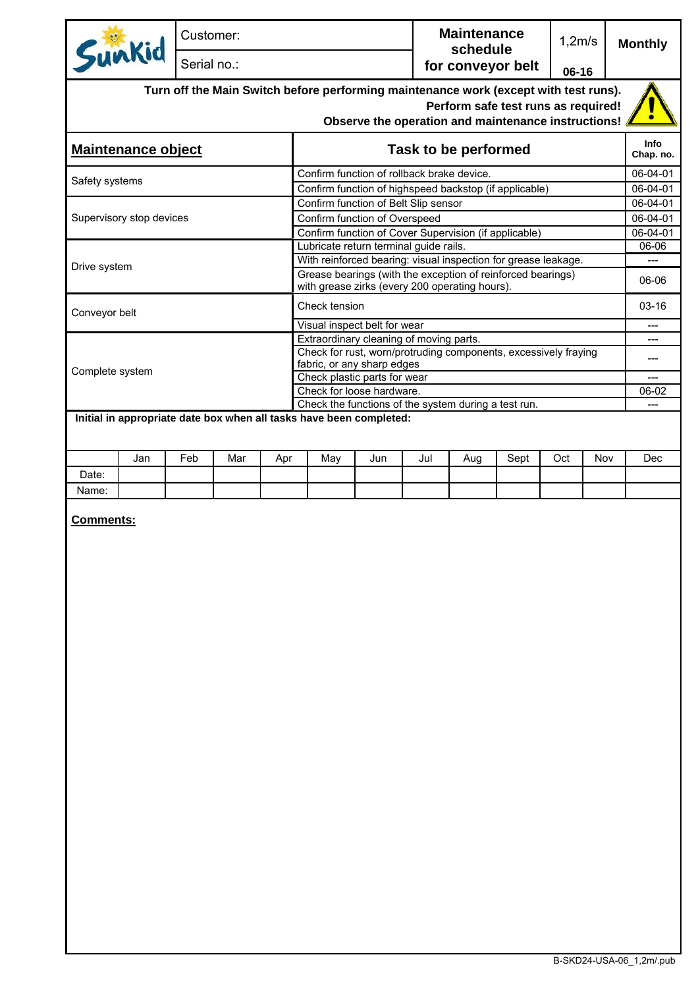| Sunkid                                                                                                                                                                             | Customer:   |                      |     |               |                                                                                                               | <b>Maintenance</b><br>schedule |     | 1,2m/s |     | <b>Monthly</b> |                      |
|------------------------------------------------------------------------------------------------------------------------------------------------------------------------------------|-------------|----------------------|-----|---------------|---------------------------------------------------------------------------------------------------------------|--------------------------------|-----|--------|-----|----------------|----------------------|
|                                                                                                                                                                                    | Serial no.: |                      |     |               |                                                                                                               | for conveyor belt              |     | 06-16  |     |                |                      |
| Turn off the Main Switch before performing maintenance work (except with test runs).<br>Perform safe test runs as required!<br>Observe the operation and maintenance instructions! |             |                      |     |               |                                                                                                               |                                |     |        |     |                |                      |
| <b>Maintenance object</b>                                                                                                                                                          |             | Task to be performed |     |               |                                                                                                               |                                |     |        |     |                |                      |
| Safety systems                                                                                                                                                                     |             |                      |     |               | Confirm function of rollback brake device.                                                                    |                                |     |        |     |                | 06-04-01             |
|                                                                                                                                                                                    |             |                      |     |               | Confirm function of highspeed backstop (if applicable)                                                        |                                |     |        |     |                | 06-04-01             |
|                                                                                                                                                                                    |             |                      |     |               | Confirm function of Belt Slip sensor                                                                          |                                |     |        |     |                | 06-04-01             |
| Supervisory stop devices                                                                                                                                                           |             |                      |     |               | Confirm function of Overspeed<br>Confirm function of Cover Supervision (if applicable)                        |                                |     |        |     |                | 06-04-01<br>06-04-01 |
|                                                                                                                                                                                    |             |                      |     |               | Lubricate return terminal guide rails.                                                                        |                                |     |        |     |                | 06-06                |
|                                                                                                                                                                                    |             |                      |     |               | With reinforced bearing: visual inspection for grease leakage.                                                |                                |     |        |     |                | $---$                |
| Drive system                                                                                                                                                                       |             |                      |     |               | Grease bearings (with the exception of reinforced bearings)<br>with grease zirks (every 200 operating hours). |                                |     |        |     |                | 06-06                |
| Conveyor belt                                                                                                                                                                      |             |                      |     | Check tension |                                                                                                               |                                |     |        |     |                | $03 - 16$            |
|                                                                                                                                                                                    |             |                      |     |               | Visual inspect belt for wear                                                                                  |                                |     |        |     |                | ---                  |
|                                                                                                                                                                                    |             |                      |     |               | Extraordinary cleaning of moving parts.                                                                       |                                |     |        |     |                |                      |
|                                                                                                                                                                                    |             |                      |     |               | Check for rust, worn/protruding components, excessively fraying<br>fabric, or any sharp edges                 |                                |     |        |     |                | ---                  |
| Complete system                                                                                                                                                                    |             |                      |     |               | Check plastic parts for wear                                                                                  |                                |     |        |     |                | $---$                |
|                                                                                                                                                                                    |             |                      |     |               | Check for loose hardware.                                                                                     |                                |     |        |     |                | 06-02                |
| Initial in appropriate date box when all tasks have been completed:                                                                                                                |             |                      |     |               | Check the functions of the system during a test run.                                                          |                                |     |        |     |                | $---$                |
|                                                                                                                                                                                    |             |                      |     |               |                                                                                                               |                                |     |        |     |                |                      |
| Jan                                                                                                                                                                                | Feb         | Mar                  | Apr | May           | Jun                                                                                                           | Jul                            | Aug | Sept   | Oct | Nov            | Dec                  |
| Date:<br>Name:                                                                                                                                                                     |             |                      |     |               |                                                                                                               |                                |     |        |     |                |                      |
|                                                                                                                                                                                    |             |                      |     |               |                                                                                                               |                                |     |        |     |                |                      |
| Comments:                                                                                                                                                                          |             |                      |     |               |                                                                                                               |                                |     |        |     |                |                      |